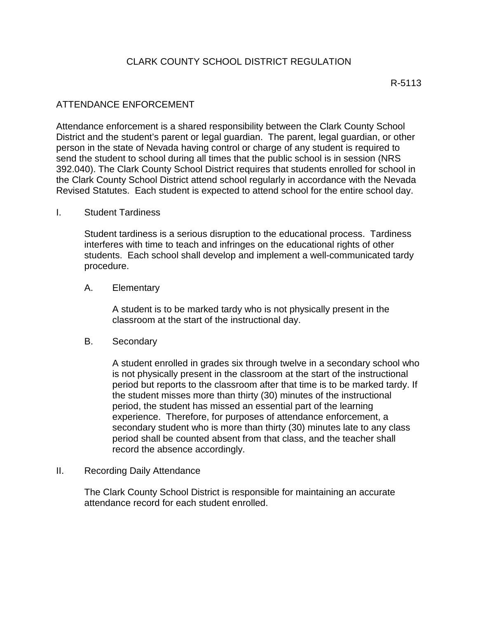# CLARK COUNTY SCHOOL DISTRICT REGULATION

## ATTENDANCE ENFORCEMENT

Attendance enforcement is a shared responsibility between the Clark County School District and the student's parent or legal guardian. The parent, legal guardian, or other person in the state of Nevada having control or charge of any student is required to send the student to school during all times that the public school is in session (NRS 392.040). The Clark County School District requires that students enrolled for school in the Clark County School District attend school regularly in accordance with the Nevada Revised Statutes. Each student is expected to attend school for the entire school day.

### I. Student Tardiness

Student tardiness is a serious disruption to the educational process. Tardiness interferes with time to teach and infringes on the educational rights of other students. Each school shall develop and implement a well-communicated tardy procedure.

### A. Elementary

A student is to be marked tardy who is not physically present in the classroom at the start of the instructional day.

### B. Secondary

A student enrolled in grades six through twelve in a secondary school who is not physically present in the classroom at the start of the instructional period but reports to the classroom after that time is to be marked tardy. If the student misses more than thirty (30) minutes of the instructional period, the student has missed an essential part of the learning experience. Therefore, for purposes of attendance enforcement, a secondary student who is more than thirty (30) minutes late to any class period shall be counted absent from that class, and the teacher shall record the absence accordingly.

### II. Recording Daily Attendance

The Clark County School District is responsible for maintaining an accurate attendance record for each student enrolled.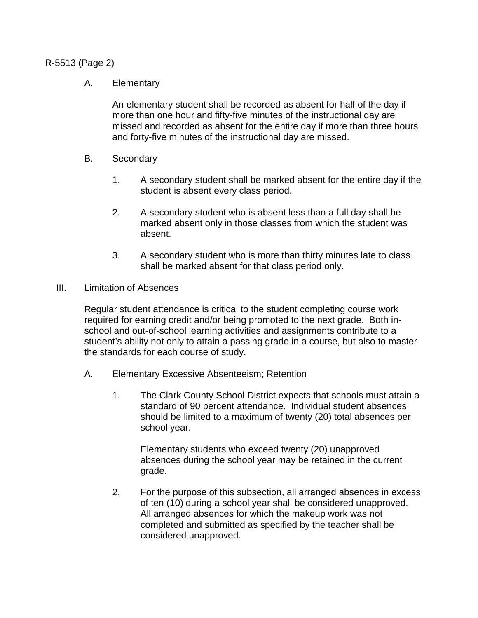## R-5513 (Page 2)

## A. Elementary

An elementary student shall be recorded as absent for half of the day if more than one hour and fifty-five minutes of the instructional day are missed and recorded as absent for the entire day if more than three hours and forty-five minutes of the instructional day are missed.

- B. Secondary
	- 1. A secondary student shall be marked absent for the entire day if the student is absent every class period.
	- 2. A secondary student who is absent less than a full day shall be marked absent only in those classes from which the student was absent.
	- 3. A secondary student who is more than thirty minutes late to class shall be marked absent for that class period only.
- III. Limitation of Absences

Regular student attendance is critical to the student completing course work required for earning credit and/or being promoted to the next grade. Both inschool and out-of-school learning activities and assignments contribute to a student's ability not only to attain a passing grade in a course, but also to master the standards for each course of study.

- A. Elementary Excessive Absenteeism; Retention
	- 1. The Clark County School District expects that schools must attain a standard of 90 percent attendance. Individual student absences should be limited to a maximum of twenty (20) total absences per school year.

Elementary students who exceed twenty (20) unapproved absences during the school year may be retained in the current grade.

2. For the purpose of this subsection, all arranged absences in excess of ten (10) during a school year shall be considered unapproved. All arranged absences for which the makeup work was not completed and submitted as specified by the teacher shall be considered unapproved.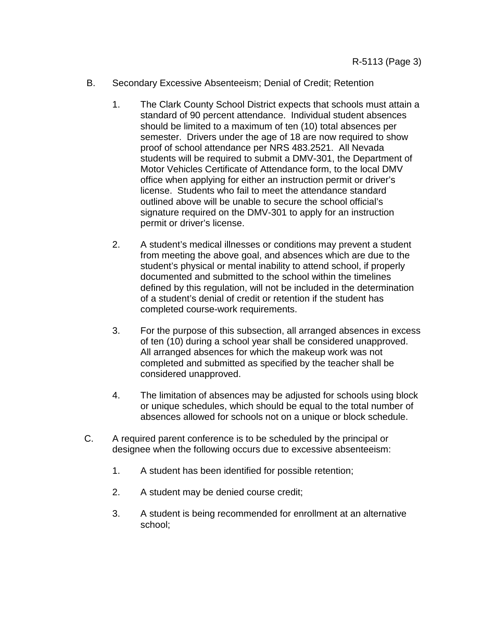- B. Secondary Excessive Absenteeism; Denial of Credit; Retention
	- 1. The Clark County School District expects that schools must attain a standard of 90 percent attendance. Individual student absences should be limited to a maximum of ten (10) total absences per semester. Drivers under the age of 18 are now required to show proof of school attendance per NRS 483.2521. All Nevada students will be required to submit a DMV-301, the Department of Motor Vehicles Certificate of Attendance form, to the local DMV office when applying for either an instruction permit or driver's license. Students who fail to meet the attendance standard outlined above will be unable to secure the school official's signature required on the DMV-301 to apply for an instruction permit or driver's license.
	- 2. A student's medical illnesses or conditions may prevent a student from meeting the above goal, and absences which are due to the student's physical or mental inability to attend school, if properly documented and submitted to the school within the timelines defined by this regulation, will not be included in the determination of a student's denial of credit or retention if the student has completed course-work requirements.
	- 3. For the purpose of this subsection, all arranged absences in excess of ten (10) during a school year shall be considered unapproved. All arranged absences for which the makeup work was not completed and submitted as specified by the teacher shall be considered unapproved.
	- 4. The limitation of absences may be adjusted for schools using block or unique schedules, which should be equal to the total number of absences allowed for schools not on a unique or block schedule.
- C. A required parent conference is to be scheduled by the principal or designee when the following occurs due to excessive absenteeism:
	- 1. A student has been identified for possible retention;
	- 2. A student may be denied course credit;
	- 3. A student is being recommended for enrollment at an alternative school;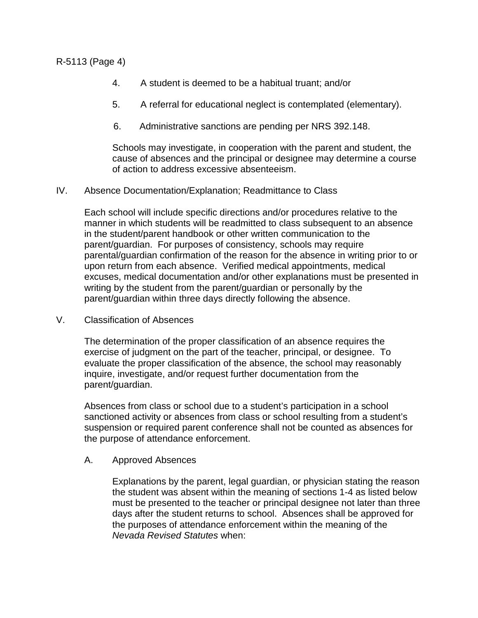R-5113 (Page 4)

- 4. A student is deemed to be a habitual truant; and/or
- 5. A referral for educational neglect is contemplated (elementary).
- 6. Administrative sanctions are pending per NRS 392.148.

Schools may investigate, in cooperation with the parent and student, the cause of absences and the principal or designee may determine a course of action to address excessive absenteeism.

IV. Absence Documentation/Explanation; Readmittance to Class

Each school will include specific directions and/or procedures relative to the manner in which students will be readmitted to class subsequent to an absence in the student/parent handbook or other written communication to the parent/guardian. For purposes of consistency, schools may require parental/guardian confirmation of the reason for the absence in writing prior to or upon return from each absence. Verified medical appointments, medical excuses, medical documentation and/or other explanations must be presented in writing by the student from the parent/guardian or personally by the parent/guardian within three days directly following the absence.

V. Classification of Absences

The determination of the proper classification of an absence requires the exercise of judgment on the part of the teacher, principal, or designee. To evaluate the proper classification of the absence, the school may reasonably inquire, investigate, and/or request further documentation from the parent/guardian.

Absences from class or school due to a student's participation in a school sanctioned activity or absences from class or school resulting from a student's suspension or required parent conference shall not be counted as absences for the purpose of attendance enforcement.

# A. Approved Absences

Explanations by the parent, legal guardian, or physician stating the reason the student was absent within the meaning of sections 1-4 as listed below must be presented to the teacher or principal designee not later than three days after the student returns to school. Absences shall be approved for the purposes of attendance enforcement within the meaning of the *Nevada Revised Statutes* when: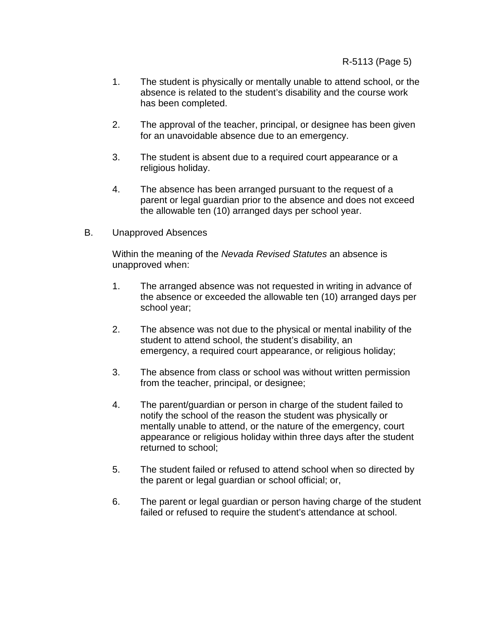- 1. The student is physically or mentally unable to attend school, or the absence is related to the student's disability and the course work has been completed.
- 2. The approval of the teacher, principal, or designee has been given for an unavoidable absence due to an emergency.
- 3. The student is absent due to a required court appearance or a religious holiday.
- 4. The absence has been arranged pursuant to the request of a parent or legal guardian prior to the absence and does not exceed the allowable ten (10) arranged days per school year.
- B. Unapproved Absences

Within the meaning of the *Nevada Revised Statutes* an absence is unapproved when:

- 1. The arranged absence was not requested in writing in advance of the absence or exceeded the allowable ten (10) arranged days per school year;
- 2. The absence was not due to the physical or mental inability of the student to attend school, the student's disability, an emergency, a required court appearance, or religious holiday;
- 3. The absence from class or school was without written permission from the teacher, principal, or designee;
- 4. The parent/guardian or person in charge of the student failed to notify the school of the reason the student was physically or mentally unable to attend, or the nature of the emergency, court appearance or religious holiday within three days after the student returned to school;
- 5. The student failed or refused to attend school when so directed by the parent or legal guardian or school official; or,
- 6. The parent or legal guardian or person having charge of the student failed or refused to require the student's attendance at school.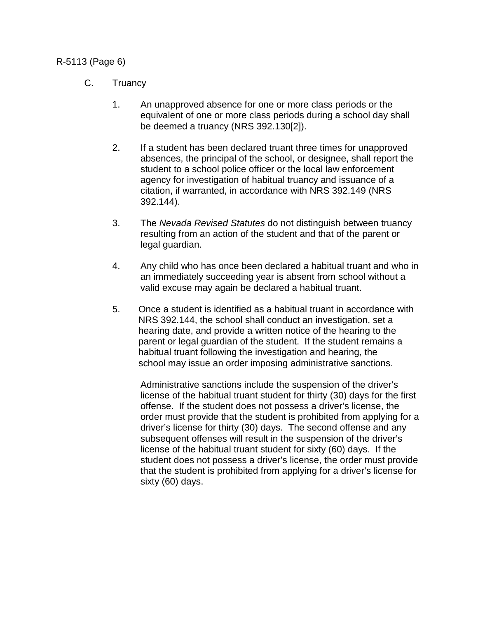# R-5113 (Page 6)

# C. Truancy

- 1. An unapproved absence for one or more class periods or the equivalent of one or more class periods during a school day shall be deemed a truancy (NRS 392.130[2]).
- 2. If a student has been declared truant three times for unapproved absences, the principal of the school, or designee, shall report the student to a school police officer or the local law enforcement agency for investigation of habitual truancy and issuance of a citation, if warranted, in accordance with NRS 392.149 (NRS 392.144).
- 3. The *Nevada Revised Statutes* do not distinguish between truancy resulting from an action of the student and that of the parent or legal guardian.
- 4. Any child who has once been declared a habitual truant and who in an immediately succeeding year is absent from school without a valid excuse may again be declared a habitual truant.
- 5. Once a student is identified as a habitual truant in accordance with NRS 392.144, the school shall conduct an investigation, set a hearing date, and provide a written notice of the hearing to the parent or legal guardian of the student. If the student remains a habitual truant following the investigation and hearing, the school may issue an order imposing administrative sanctions.

Administrative sanctions include the suspension of the driver's license of the habitual truant student for thirty (30) days for the first offense. If the student does not possess a driver's license, the order must provide that the student is prohibited from applying for a driver's license for thirty (30) days. The second offense and any subsequent offenses will result in the suspension of the driver's license of the habitual truant student for sixty (60) days. If the student does not possess a driver's license, the order must provide that the student is prohibited from applying for a driver's license for sixty (60) days.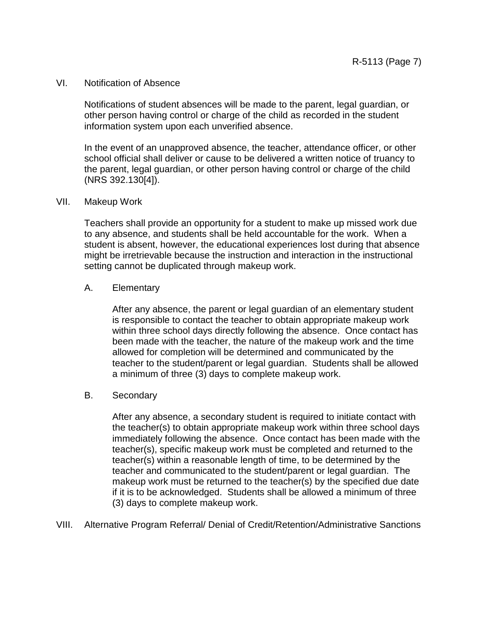#### VI. Notification of Absence

Notifications of student absences will be made to the parent, legal guardian, or other person having control or charge of the child as recorded in the student information system upon each unverified absence.

In the event of an unapproved absence, the teacher, attendance officer, or other school official shall deliver or cause to be delivered a written notice of truancy to the parent, legal guardian, or other person having control or charge of the child (NRS 392.130[4]).

#### VII. Makeup Work

Teachers shall provide an opportunity for a student to make up missed work due to any absence, and students shall be held accountable for the work. When a student is absent, however, the educational experiences lost during that absence might be irretrievable because the instruction and interaction in the instructional setting cannot be duplicated through makeup work.

#### A. Elementary

After any absence, the parent or legal guardian of an elementary student is responsible to contact the teacher to obtain appropriate makeup work within three school days directly following the absence. Once contact has been made with the teacher, the nature of the makeup work and the time allowed for completion will be determined and communicated by the teacher to the student/parent or legal guardian. Students shall be allowed a minimum of three (3) days to complete makeup work.

### B. Secondary

After any absence, a secondary student is required to initiate contact with the teacher(s) to obtain appropriate makeup work within three school days immediately following the absence. Once contact has been made with the teacher(s), specific makeup work must be completed and returned to the teacher(s) within a reasonable length of time, to be determined by the teacher and communicated to the student/parent or legal guardian. The makeup work must be returned to the teacher(s) by the specified due date if it is to be acknowledged. Students shall be allowed a minimum of three (3) days to complete makeup work.

VIII. Alternative Program Referral/ Denial of Credit/Retention/Administrative Sanctions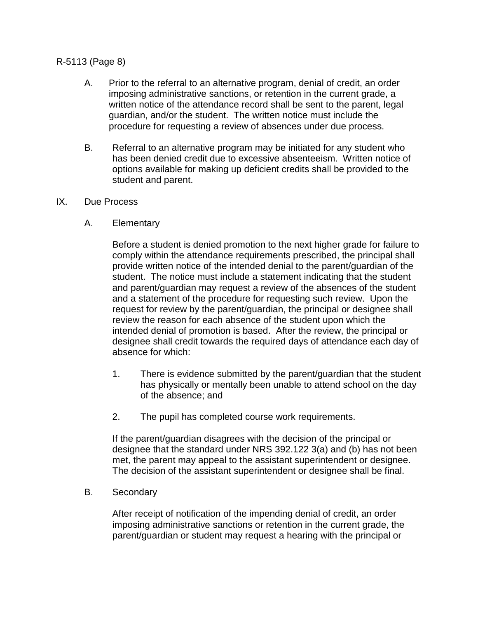# R-5113 (Page 8)

- A. Prior to the referral to an alternative program, denial of credit, an order imposing administrative sanctions, or retention in the current grade, a written notice of the attendance record shall be sent to the parent, legal guardian, and/or the student. The written notice must include the procedure for requesting a review of absences under due process.
- B. Referral to an alternative program may be initiated for any student who has been denied credit due to excessive absenteeism. Written notice of options available for making up deficient credits shall be provided to the student and parent.
- IX. Due Process
	- A. Elementary

Before a student is denied promotion to the next higher grade for failure to comply within the attendance requirements prescribed, the principal shall provide written notice of the intended denial to the parent/guardian of the student. The notice must include a statement indicating that the student and parent/guardian may request a review of the absences of the student and a statement of the procedure for requesting such review. Upon the request for review by the parent/guardian, the principal or designee shall review the reason for each absence of the student upon which the intended denial of promotion is based. After the review, the principal or designee shall credit towards the required days of attendance each day of absence for which:

- 1. There is evidence submitted by the parent/guardian that the student has physically or mentally been unable to attend school on the day of the absence; and
- 2. The pupil has completed course work requirements.

If the parent/guardian disagrees with the decision of the principal or designee that the standard under NRS 392.122 3(a) and (b) has not been met, the parent may appeal to the assistant superintendent or designee. The decision of the assistant superintendent or designee shall be final.

B. Secondary

After receipt of notification of the impending denial of credit, an order imposing administrative sanctions or retention in the current grade, the parent/guardian or student may request a hearing with the principal or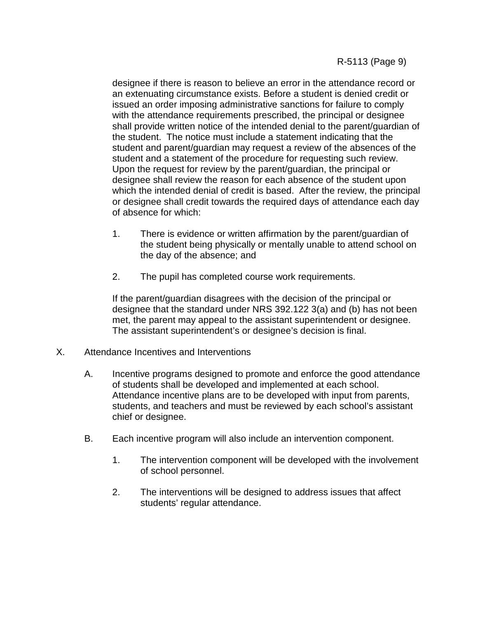designee if there is reason to believe an error in the attendance record or an extenuating circumstance exists. Before a student is denied credit or issued an order imposing administrative sanctions for failure to comply with the attendance requirements prescribed, the principal or designee shall provide written notice of the intended denial to the parent/guardian of the student. The notice must include a statement indicating that the student and parent/guardian may request a review of the absences of the student and a statement of the procedure for requesting such review. Upon the request for review by the parent/guardian, the principal or designee shall review the reason for each absence of the student upon which the intended denial of credit is based. After the review, the principal or designee shall credit towards the required days of attendance each day of absence for which:

- 1. There is evidence or written affirmation by the parent/guardian of the student being physically or mentally unable to attend school on the day of the absence; and
- 2. The pupil has completed course work requirements.

If the parent/guardian disagrees with the decision of the principal or designee that the standard under NRS 392.122 3(a) and (b) has not been met, the parent may appeal to the assistant superintendent or designee. The assistant superintendent's or designee's decision is final.

- X. Attendance Incentives and Interventions
	- A. Incentive programs designed to promote and enforce the good attendance of students shall be developed and implemented at each school. Attendance incentive plans are to be developed with input from parents, students, and teachers and must be reviewed by each school's assistant chief or designee.
	- B. Each incentive program will also include an intervention component.
		- 1. The intervention component will be developed with the involvement of school personnel.
		- 2. The interventions will be designed to address issues that affect students' regular attendance.